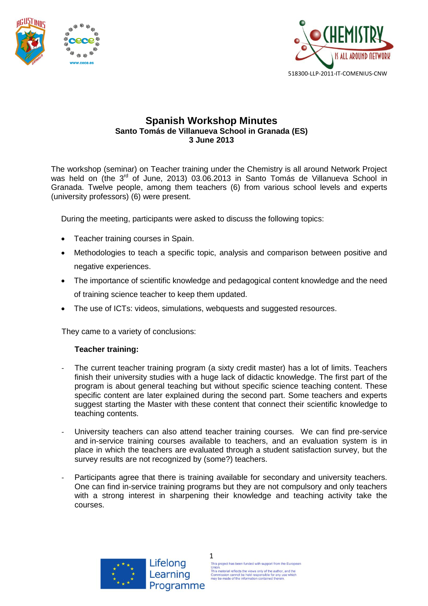



## **Spanish Workshop Minutes Santo Tomás de Villanueva School in Granada (ES) 3 June 2013**

The workshop (seminar) on Teacher training under the Chemistry is all around Network Project was held on (the 3<sup>rd</sup> of June, 2013) 03.06.2013 in Santo Tomás de Villanueva School in Granada. Twelve people, among them teachers (6) from various school levels and experts (university professors) (6) were present.

During the meeting, participants were asked to discuss the following topics:

- Teacher training courses in Spain.
- Methodologies to teach a specific topic, analysis and comparison between positive and negative experiences.
- The importance of scientific knowledge and pedagogical content knowledge and the need of training science teacher to keep them updated.
- The use of ICTs: videos, simulations, webquests and suggested resources.

They came to a variety of conclusions:

## **Teacher training:**

- The current teacher training program (a sixty credit master) has a lot of limits. Teachers finish their university studies with a huge lack of didactic knowledge. The first part of the program is about general teaching but without specific science teaching content. These specific content are later explained during the second part. Some teachers and experts suggest starting the Master with these content that connect their scientific knowledge to teaching contents.
- University teachers can also attend teacher training courses. We can find pre-service and in-service training courses available to teachers, and an evaluation system is in place in which the teachers are evaluated through a student satisfaction survey, but the survey results are not recognized by (some?) teachers.
- Participants agree that there is training available for secondary and university teachers. One can find in-service training programs but they are not compulsory and only teachers with a strong interest in sharpening their knowledge and teaching activity take the courses.

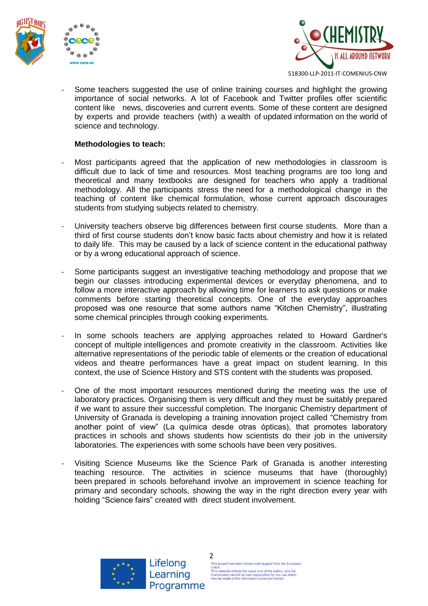





518300-LLP-2011-IT-COMENIUS-CNW

Some teachers suggested the use of online training courses and highlight the growing importance of social networks. A lot of Facebook and Twitter profiles offer scientific content like news, discoveries and current events. Some of these content are designed by experts and provide teachers (with) a wealth of updated information on the world of science and technology.

## **Methodologies to teach:**

- Most participants agreed that the application of new methodologies in classroom is difficult due to lack of time and resources. Most teaching programs are too long and theoretical and many textbooks are designed for teachers who apply a traditional methodology. All the participants stress the need for a methodological change in the teaching of content like chemical formulation, whose current approach discourages students from studying subjects related to chemistry.
- University teachers observe big differences between first course students. More than a third of first course students don't know basic facts about chemistry and how it is related to daily life. This may be caused by a lack of science content in the educational pathway or by a wrong educational approach of science.
- Some participants suggest an investigative teaching methodology and propose that we begin our classes introducing experimental devices or everyday phenomena, and to follow a more interactive approach by allowing time for learners to ask questions or make comments before starting theoretical concepts. One of the everyday approaches proposed was one resource that some authors name "Kitchen Chemistry", illustrating some chemical principles through cooking experiments.
- In some schools teachers are applying approaches related to Howard Gardner's concept of multiple intelligences and promote creativity in the classroom. Activities like alternative representations of the periodic table of elements or the creation of educational videos and theatre performances have a great impact on student learning. In this context, the use of Science History and STS content with the students was proposed.
- One of the most important resources mentioned during the meeting was the use of laboratory practices. Organising them is very difficult and they must be suitably prepared if we want to assure their successful completion. The Inorganic Chemistry department of University of Granada is developing a training innovation project called "Chemistry from another point of view" (La química desde otras ópticas), that promotes laboratory practices in schools and shows students how scientists do their job in the university laboratories. The experiences with some schools have been very positives.
- Visiting Science Museums like the Science Park of Granada is another interesting teaching resource. The activities in science museums that have (thoroughly) been prepared in schools beforehand involve an improvement in science teaching for primary and secondary schools, showing the way in the right direction every year with holding "Science fairs" created with direct student involvement.